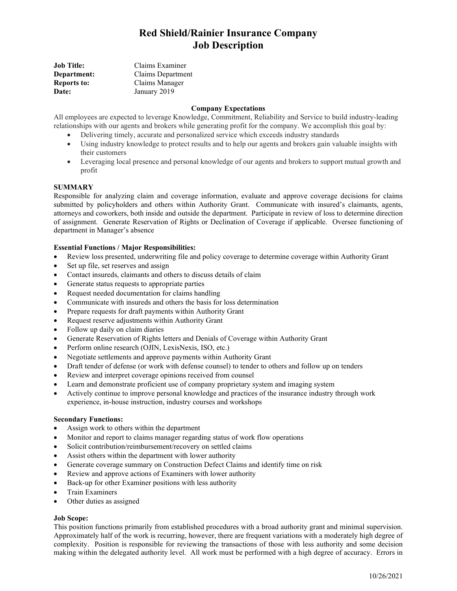# Red Shield/Rainier Insurance Company Job Description

| Job Title:   | Claims Examiner   |
|--------------|-------------------|
| Department:  | Claims Department |
| Reports to:  | Claims Manager    |
| <b>Date:</b> | January 2019      |

## Company Expectations

All employees are expected to leverage Knowledge, Commitment, Reliability and Service to build industry-leading relationships with our agents and brokers while generating profit for the company. We accomplish this goal by:

- Delivering timely, accurate and personalized service which exceeds industry standards
- Using industry knowledge to protect results and to help our agents and brokers gain valuable insights with their customers
- Leveraging local presence and personal knowledge of our agents and brokers to support mutual growth and profit

#### **SUMMARY**

Responsible for analyzing claim and coverage information, evaluate and approve coverage decisions for claims submitted by policyholders and others within Authority Grant. Communicate with insured's claimants, agents, attorneys and coworkers, both inside and outside the department. Participate in review of loss to determine direction of assignment. Generate Reservation of Rights or Declination of Coverage if applicable. Oversee functioning of department in Manager's absence

# Essential Functions / Major Responsibilities:

- Review loss presented, underwriting file and policy coverage to determine coverage within Authority Grant
- Set up file, set reserves and assign
- Contact insureds, claimants and others to discuss details of claim
- Generate status requests to appropriate parties
- Request needed documentation for claims handling
- Communicate with insureds and others the basis for loss determination
- Prepare requests for draft payments within Authority Grant
- Request reserve adjustments within Authority Grant
- Follow up daily on claim diaries
- Generate Reservation of Rights letters and Denials of Coverage within Authority Grant
- Perform online research (OJIN, LexisNexis, ISO, etc.)
- Negotiate settlements and approve payments within Authority Grant
- Draft tender of defense (or work with defense counsel) to tender to others and follow up on tenders
- Review and interpret coverage opinions received from counsel
- Learn and demonstrate proficient use of company proprietary system and imaging system
- Actively continue to improve personal knowledge and practices of the insurance industry through work experience, in-house instruction, industry courses and workshops

#### Secondary Functions:

- Assign work to others within the department
- Monitor and report to claims manager regarding status of work flow operations
- Solicit contribution/reimbursement/recovery on settled claims
- Assist others within the department with lower authority
- Generate coverage summary on Construction Defect Claims and identify time on risk
- Review and approve actions of Examiners with lower authority
- Back-up for other Examiner positions with less authority
- Train Examiners
- Other duties as assigned

# Job Scope:

This position functions primarily from established procedures with a broad authority grant and minimal supervision. Approximately half of the work is recurring, however, there are frequent variations with a moderately high degree of complexity. Position is responsible for reviewing the transactions of those with less authority and some decision making within the delegated authority level. All work must be performed with a high degree of accuracy. Errors in